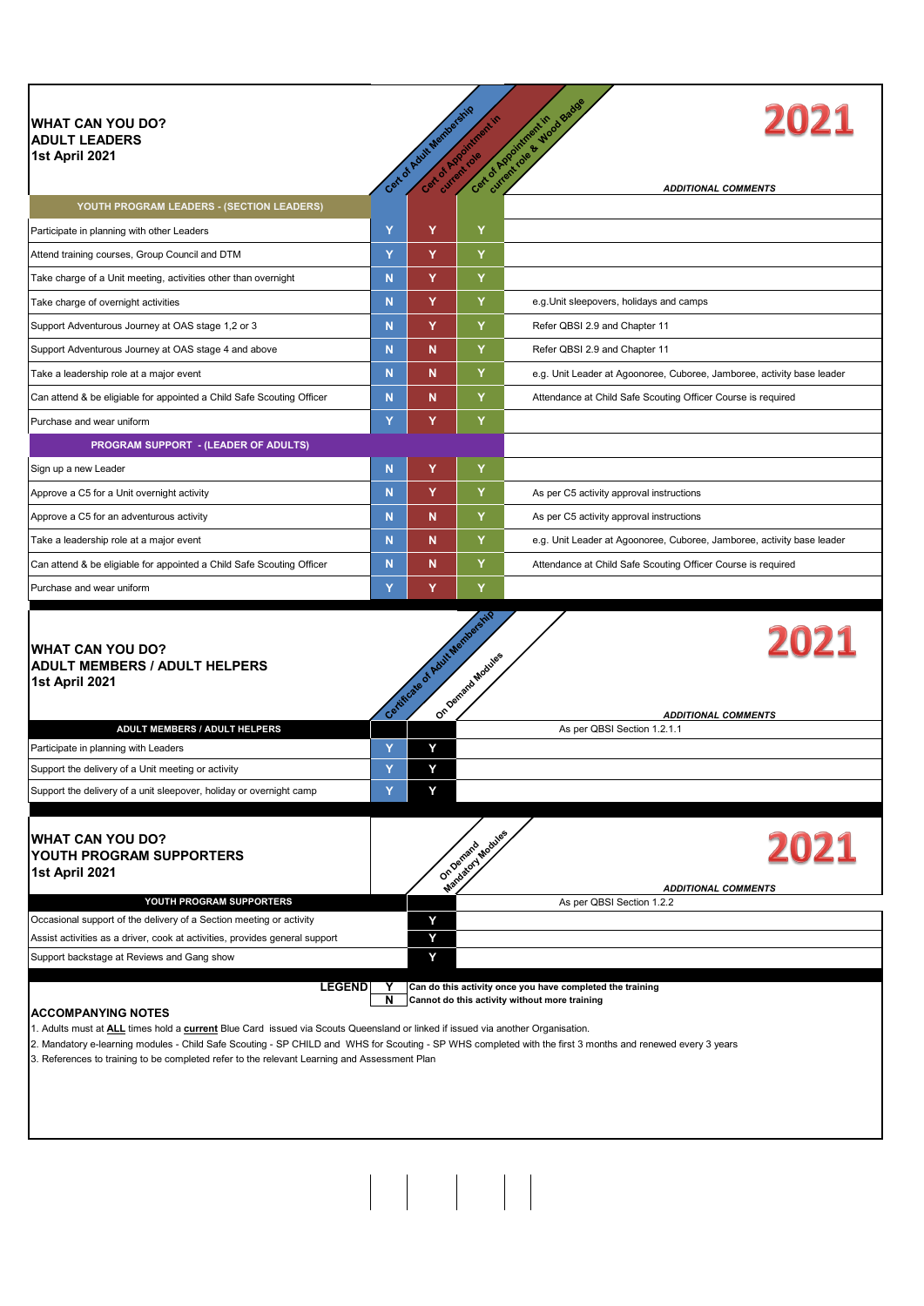| <b>WHAT CAN YOU DO?</b><br><b>ADULT LEADERS</b><br>1st April 2021                 |   | Can of Adult Mantageme | Can of Augustus River                               | current role & Wood Badge<br>2021<br>Cat of Appointment in             |
|-----------------------------------------------------------------------------------|---|------------------------|-----------------------------------------------------|------------------------------------------------------------------------|
| YOUTH PROGRAM LEADERS - (SECTION LEADERS)                                         |   |                        |                                                     | <b>ADDITIONAL COMMENTS</b>                                             |
| Participate in planning with other Leaders                                        | Ÿ | Y                      | Y                                                   |                                                                        |
| Attend training courses, Group Council and DTM                                    | Ÿ | Y                      | Y                                                   |                                                                        |
| Take charge of a Unit meeting, activities other than overnight                    | N | Y                      | Y                                                   |                                                                        |
| Take charge of overnight activities                                               | N | Y                      | Y                                                   | e.g. Unit sleepovers, holidays and camps                               |
| Support Adventurous Journey at OAS stage 1,2 or 3                                 | Ñ | Y                      | Y                                                   | Refer QBSI 2.9 and Chapter 11                                          |
| Support Adventurous Journey at OAS stage 4 and above                              | Ñ | N                      | Y                                                   | Refer QBSI 2.9 and Chapter 11                                          |
| Take a leadership role at a major event                                           | N | N                      | Y                                                   | e.g. Unit Leader at Agoonoree, Cuboree, Jamboree, activity base leader |
| Can attend & be eligiable for appointed a Child Safe Scouting Officer             | N | N                      | Y                                                   | Attendance at Child Safe Scouting Officer Course is required           |
| Purchase and wear uniform                                                         | Ÿ | Y                      | Y                                                   |                                                                        |
| <b>PROGRAM SUPPORT - (LEADER OF ADULTS)</b>                                       |   |                        |                                                     |                                                                        |
| Sign up a new Leader                                                              | N | Y                      | Y                                                   |                                                                        |
| Approve a C5 for a Unit overnight activity                                        | N | Y                      | Y                                                   | As per C5 activity approval instructions                               |
| Approve a C5 for an adventurous activity                                          | N | N                      | Y                                                   | As per C5 activity approval instructions                               |
| Take a leadership role at a major event                                           | N | N                      | Y                                                   | e.g. Unit Leader at Agoonoree, Cuboree, Jamboree, activity base leader |
| Can attend & be eligiable for appointed a Child Safe Scouting Officer             | N | N                      | Y                                                   | Attendance at Child Safe Scouting Officer Course is required           |
| Purchase and wear uniform                                                         | Ÿ | Y                      | Y                                                   |                                                                        |
| <b>WHAT CAN YOU DO?</b><br><b>ADULT MEMBERS / ADULT HELPERS</b><br>1st April 2021 |   |                        | Contribute of Asiat Membership<br>On Oemato Modules | 2021<br><b>ADDITIONAL COMMENTS</b>                                     |

|                                                                     | Cent | On Det | <b>ADDITIONAL COMMENTS</b>  |
|---------------------------------------------------------------------|------|--------|-----------------------------|
| ADULT MEMBERS / ADULT HELPERS                                       |      |        | As per QBSI Section 1.2.1.1 |
| Participate in planning with Leaders                                |      |        |                             |
| Support the delivery of a Unit meeting or activity                  |      |        |                             |
| Support the delivery of a unit sleepover, holiday or overnight camp |      |        |                             |
|                                                                     |      |        |                             |
|                                                                     |      |        |                             |

| <b>WHAT CAN YOU DO?</b><br><b>IYOUTH PROGRAM SUPPORTERS</b><br>1st April 2021 | ndagory Modules<br>On Demand |                            |
|-------------------------------------------------------------------------------|------------------------------|----------------------------|
|                                                                               |                              | <b>ADDITIONAL COMMENTS</b> |
| YOUTH PROGRAM SUPPORTERS                                                      |                              | As per QBSI Section 1.2.2  |
| Occasional support of the delivery of a Section meeting or activity           |                              |                            |
| Assist activities as a driver, cook at activities, provides general support   |                              |                            |
| Support backstage at Reviews and Gang show                                    |                              |                            |
|                                                                               |                              |                            |

**LEGEND Y Can do this activity once you have completed the training N Cannot do this activity without more training**

## **ACCOMPANYING NOTES**

1. Adults must at **ALL** times hold a **current** Blue Card issued via Scouts Queensland or linked if issued via another Organisation.

2. Mandatory e-learning modules - Child Safe Scouting - SP CHILD and WHS for Scouting - SP WHS completed with the first 3 months and renewed every 3 years

3. References to training to be completed refer to the relevant Learning and Assessment Plan